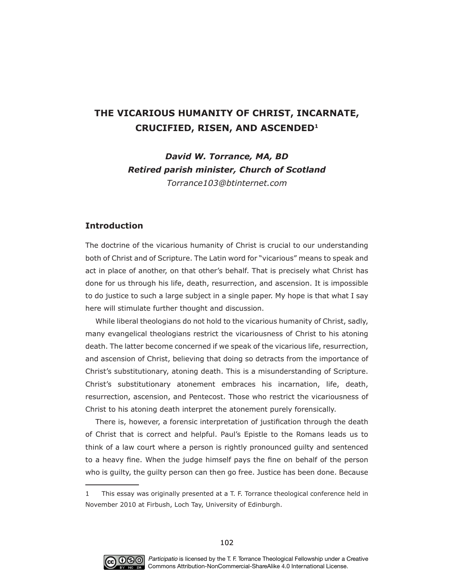# **THE VICARIOUS HUMANITY OF CHRIST, INCARNATE, CRUCIFIED, RISEN, AND ASCENDED1**

*David W. Torrance, MA, BD Retired parish minister, Church of Scotland Torrance#Etinternet.com*

# **Introduction**

The doctrine of the vicarious humanity of Christ is crucial to our understanding both of Christ and of Scripture. The Latin word for "vicarious" means to speak and act in place of another, on that other's behalf. That is precisely what Christ has done for us through his life, death, resurrection, and ascension. It is impossible to do justice to such a large subject in a single paper. My hope is that what I say here will stimulate further thought and discussion.

While liberal theologians do not hold to the vicarious humanity of Christ, sadly, many evangelical theologians restrict the vicariousness of Christ to his atoning death. The latter become concerned if we speak of the vicarious life, resurrection, and ascension of Christ, believing that doing so detracts from the importance of Christ's substitutionary, atoning death. This is a misunderstanding of Scripture. Christ's substitutionary atonement embraces his incarnation, life, death, resurrection, ascension, and Pentecost. Those who restrict the vicariousness of Christ to his atoning death interpret the atonement purely forensically.

There is, however, a forensic interpretation of justification through the death of Christ that is correct and helpful. Paul's Epistle to the Romans leads us to think of a law court where a person is rightly pronounced guilty and sentenced to a heavy fine. When the judge himself pays the fine on behalf of the person who is guilty, the guilty person can then go free. Justice has been done. Because



<sup>1</sup> This essay was originally presented at a T. F. Torrance theological conference held in November 2010 at Firbush, Loch Tay, University of Edinburgh.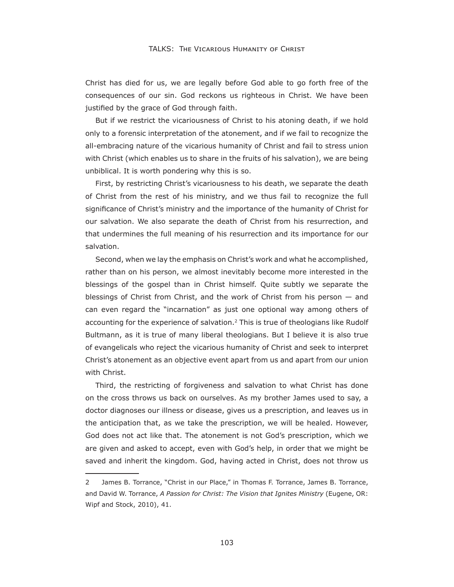Christ has died for us, we are legally before God able to go forth free of the consequences of our sin. God reckons us righteous in Christ. We have been justified by the grace of God through faith.

But if we restrict the vicariousness of Christ to his atoning death, if we hold only to a forensic interpretation of the atonement, and if we fail to recognize the all-embracing nature of the vicarious humanity of Christ and fail to stress union with Christ (which enables us to share in the fruits of his salvation), we are being unbiblical. It is worth pondering why this is so.

First, by restricting Christ's vicariousness to his death, we separate the death of Christ from the rest of his ministry, and we thus fail to recognize the full signifcance of Christ's ministry and the importance of the humanity of Christ for our salvation. We also separate the death of Christ from his resurrection, and that undermines the full meaning of his resurrection and its importance for our salvation.

Second, when we lay the emphasis on Christ's work and what he accomplished, rather than on his person, we almost inevitably become more interested in the blessings of the gospel than in Christ himself. Quite subtly we separate the blessings of Christ from Christ, and the work of Christ from his person — and can even regard the "incarnation" as just one optional way among others of accounting for the experience of salvation.2 This is true of theologians like Rudolf Bultmann, as it is true of many liberal theologians. But I believe it is also true of evangelicals who reject the vicarious humanity of Christ and seek to interpret Christ's atonement as an objective event apart from us and apart from our union with Christ.

Third, the restricting of forgiveness and salvation to what Christ has done on the cross throws us back on ourselves. As my brother James used to say, a doctor diagnoses our illness or disease, gives us a prescription, and leaves us in the anticipation that, as we take the prescription, we will be healed. However, God does not act like that. The atonement is not God's prescription, which we are given and asked to accept, even with God's help, in order that we might be saved and inherit the kingdom. God, having acted in Christ, does not throw us

<sup>2</sup> James B. Torrance, "Christ in our Place," in Thomas F. Torrance, James B. Torrance, and David W. Torrance, *A Passion for Christ: The Vision that Ignites Ministry* (Eugene, OR: Wipf and Stock, 2010), 41.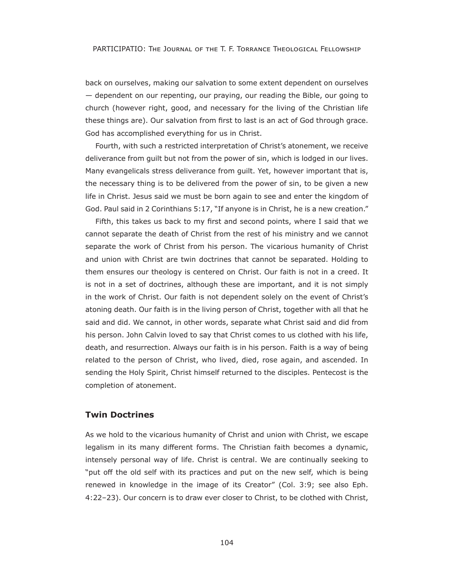back on ourselves, making our salvation to some extent dependent on ourselves  $-$  dependent on our repenting, our praying, our reading the Bible, our going to church (however right, good, and necessary for the living of the Christian life these things are). Our salvation from frst to last is an act of God through grace. God has accomplished everything for us in Christ.

Fourth, with such a restricted interpretation of Christ's atonement, we receive deliverance from guilt but not from the power of sin, which is lodged in our lives. Many evangelicals stress deliverance from guilt. Yet, however important that is, the necessary thing is to be delivered from the power of sin, to be given a new life in Christ. Jesus said we must be born again to see and enter the kingdom of God. Paul said in 2 Corinthians 5:17, "If anyone is in Christ, he is a new creation."

Fifth, this takes us back to my frst and second points, where I said that we cannot separate the death of Christ from the rest of his ministry and we cannot separate the work of Christ from his person. The vicarious humanity of Christ and union with Christ are twin doctrines that cannot be separated. Holding to them ensures our theology is centered on Christ. Our faith is not in a creed. It is not in a set of doctrines, although these are important, and it is not simply in the work of Christ. Our faith is not dependent solely on the event of Christ's atoning death. Our faith is in the living person of Christ, together with all that he said and did. We cannot, in other words, separate what Christ said and did from his person. John Calvin loved to say that Christ comes to us clothed with his life, death, and resurrection. Always our faith is in his person. Faith is a way of being related to the person of Christ, who lived, died, rose again, and ascended. In sending the Holy Spirit, Christ himself returned to the disciples. Pentecost is the completion of atonement.

## **Twin Doctrines**

As we hold to the vicarious humanity of Christ and union with Christ, we escape legalism in its many different forms. The Christian faith becomes a dynamic, intensely personal way of life. Christ is central. We are continually seeking to "put off the old self with its practices and put on the new self, which is being renewed in knowledge in the image of its Creator" (Col. 3:9; see also Eph. :22–23). Our concern is to draw ever closer to Christ, to be clothed with Christ,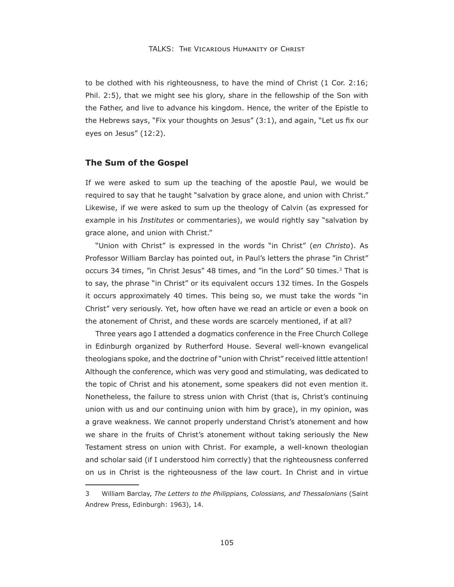to be clothed with his righteousness, to have the mind of Christ (1 Cor. 2:16; Phil. 2:5), that we might see his glory, share in the fellowship of the Son with the Father, and live to advance his kingdom. Hence, the writer of the Epistle to the Hebrews says, "Fix your thoughts on Jesus" (3:1), and again, "Let us fx our eyes on Jesus" (12:2).

#### **The Sum of the Gospel**

If we were asked to sum up the teaching of the apostle Paul, we would be required to say that he taught "salvation by grace alone, and union with Christ." Likewise, if we were asked to sum up the theology of Calvin (as expressed for example in his *Institutes* or commentaries), we would rightly say "salvation by grace alone, and union with Christ."

"Union with Christ" is expressed in the words "in Christ" (*en Christo*). As Professor William Barclay has pointed out, in Paul's letters the phrase "in Christ" occurs 34 times, "in Christ Jesus" 48 times, and "in the Lord" 50 times.<sup>3</sup> That is to say, the phrase "in Christ" or its equivalent occurs 132 times. In the Gospels it occurs approximately 40 times. This being so, we must take the words "in Christ" very seriously. Yet, how often have we read an article or even a book on the atonement of Christ, and these words are scarcely mentioned, if at all?

Three years ago I attended a dogmatics conference in the Free Church College in Edinburgh organized by Rutherford House. Several well-known evangelical theologians spoke, and the doctrine of "union with Christ" received little attention Although the conference, which was very good and stimulating, was dedicated to the topic of Christ and his atonement, some speakers did not even mention it. Nonetheless, the failure to stress union with Christ (that is, Christ's continuing union with us and our continuing union with him by grace), in my opinion, was a grave weakness. We cannot properly understand Christ's atonement and how we share in the fruits of Christ's atonement without taking seriously the New Testament stress on union with Christ. For example, a well-known theologian and scholar said (if I understood him correctly) that the righteousness conferred on us in Christ is the righteousness of the law court. In Christ and in virtue

<sup>3</sup> William Barclay, *The /etters to the Philippians Colossians anG Thessalonians* (Saint Andrew Press, Edinburgh: 1963), 14.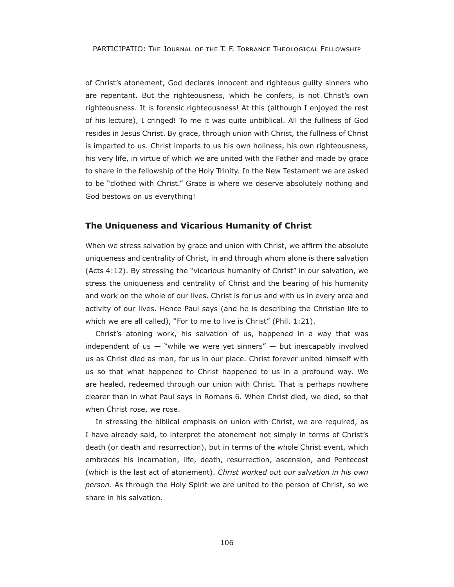PARTICIPATIO: THE JOURNAL OF THE T. F. TORRANCE THEOLOGICAL FELLOWSHIP

of Christ's atonement, God declares innocent and righteous guilty sinners who are repentant. But the righteousness, which he confers, is not Christ's own righteousness. It is forensic righteousness! At this (although I enjoyed the rest of his lecture), I cringed! To me it was quite unbiblical. All the fullness of God resides in Jesus Christ. By grace, through union with Christ, the fullness of Christ is imparted to us. Christ imparts to us his own holiness, his own righteousness, his very life, in virtue of which we are united with the Father and made by grace to share in the fellowship of the Holy Trinity. In the New Testament we are asked to be "clothed with Christ." Grace is where we deserve absolutely nothing and God bestows on us everything

## **The Uniqueness and Vicarious Humanity of Christ**

When we stress salvation by grace and union with Christ, we affirm the absolute uniqueness and centrality of Christ, in and through whom alone is there salvation (Acts  $4:12$ ). By stressing the "vicarious humanity of Christ" in our salvation, we stress the uniqueness and centrality of Christ and the bearing of his humanity and work on the whole of our lives. Christ is for us and with us in every area and activity of our lives. Hence Paul says (and he is describing the Christian life to which we are all called), "For to me to live is Christ" (Phil. 1:21).

Christ's atoning work, his salvation of us, happened in a way that was independent of us  $-$  "while we were yet sinners"  $-$  but inescapably involved us as Christ died as man, for us in our place. Christ forever united himself with us so that what happened to Christ happened to us in a profound way. We are healed, redeemed through our union with Christ. That is perhaps nowhere clearer than in what Paul says in Romans 6. When Christ died, we died, so that when Christ rose, we rose.

In stressing the biblical emphasis on union with Christ, we are required, as I have already said, to interpret the atonement not simply in terms of Christ's death (or death and resurrection), but in terms of the whole Christ event, which embraces his incarnation, life, death, resurrection, ascension, and Pentecost (which is the last act of atonement). *Christ worked out our salvation in his own person.* As through the Holy Spirit we are united to the person of Christ, so we share in his salvation.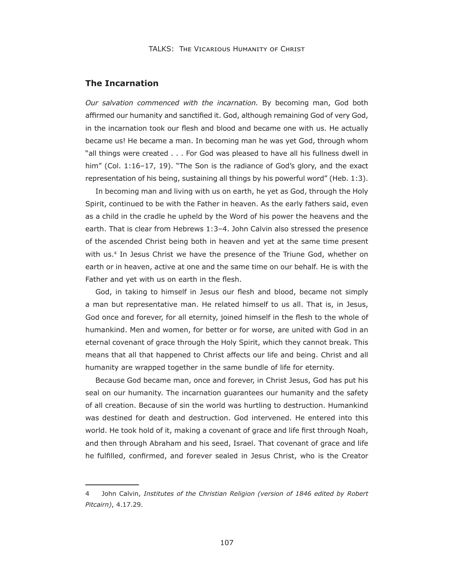### **The Incarnation**

*Our salvation commenced with the incarnation.* By becoming man, God both affirmed our humanity and sanctified it. God, although remaining God of very God, in the incarnation took our flesh and blood and became one with us. He actually became us! He became a man. In becoming man he was yet God, through whom "all things were created . . . For God was pleased to have all his fullness dwell in him" (Col. 1:16–17, 19). "The Son is the radiance of God's glory, and the exact representation of his being, sustaining all things by his powerful word" (Heb. 1:3).

In becoming man and living with us on earth, he yet as God, through the Holy Spirit, continued to be with the Father in heaven. As the early fathers said, even as a child in the cradle he upheld by the Word of his power the heavens and the earth. That is clear from Hebrews 1:3-4. John Calvin also stressed the presence of the ascended Christ being both in heaven and yet at the same time present with us.4 In Jesus Christ we have the presence of the Triune God, whether on earth or in heaven, active at one and the same time on our behalf. He is with the Father and yet with us on earth in the flesh.

God, in taking to himself in Jesus our flesh and blood, became not simply a man but representative man. He related himself to us all. That is, in Jesus, God once and forever, for all eternity, joined himself in the flesh to the whole of humankind. Men and women, for better or for worse, are united with God in an eternal covenant of grace through the Holy Spirit, which they cannot break. This means that all that happened to Christ affects our life and being. Christ and all humanity are wrapped together in the same bundle of life for eternity.

Because God became man, once and forever, in Christ Jesus, God has put his seal on our humanity. The incarnation guarantees our humanity and the safety of all creation. Because of sin the world was hurtling to destruction. Humankind was destined for death and destruction. God intervened. He entered into this world. He took hold of it, making a covenant of grace and life frst through Noah, and then through Abraham and his seed, Israel. That covenant of grace and life he fulflled, confrmed, and forever sealed in Jesus Christ, who is the Creator

<sup>4</sup> John Calvin, *Institutes of the Christian Religion (version of 1846 edited by Robert Pitcairn*, 4.17.29.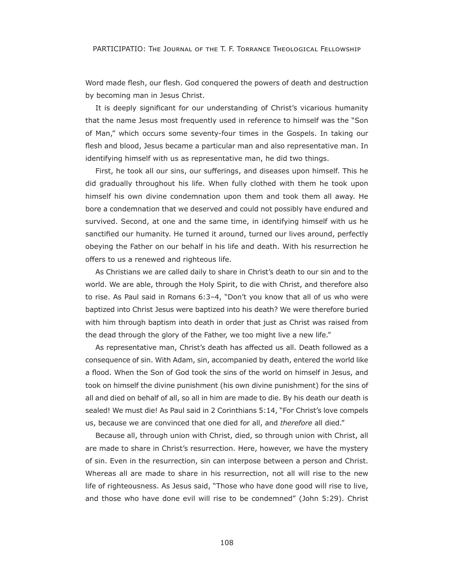PARTICIPATIO: THE JOURNAL OF THE T. F. TORRANCE THEOLOGICAL FELLOWSHIP

Word made flesh, our flesh. God conquered the powers of death and destruction by becoming man in Jesus Christ.

It is deeply signifcant for our understanding of Christ's vicarious humanity that the name Jesus most frequently used in reference to himself was the "Son of Man," which occurs some seventy-four times in the Gospels. In taking our flesh and blood, Jesus became a particular man and also representative man. In identifying himself with us as representative man, he did two things.

First, he took all our sins, our sufferings, and diseases upon himself. This he did gradually throughout his life. When fully clothed with them he took upon himself his own divine condemnation upon them and took them all away. He bore a condemnation that we deserved and could not possibly have endured and survived. Second, at one and the same time, in identifying himself with us he sanctifed our humanity. He turned it around, turned our lives around, perfectly obeying the Father on our behalf in his life and death. With his resurrection he offers to us a renewed and righteous life.

As Christians we are called daily to share in Christ's death to our sin and to the world. We are able, through the Holy Spirit, to die with Christ, and therefore also to rise. As Paul said in Romans 6:3-4, "Don't you know that all of us who were baptized into Christ Jesus were baptized into his death? We were therefore buried with him through baptism into death in order that just as Christ was raised from the dead through the glory of the Father, we too might live a new life."

As representative man, Christ's death has affected us all. Death followed as a consequence of sin. With Adam, sin, accompanied by death, entered the world like a flood. When the Son of God took the sins of the world on himself in Jesus, and took on himself the divine punishment (his own divine punishment) for the sins of all and died on behalf of all, so all in him are made to die. By his death our death is sealed! We must die! As Paul said in 2 Corinthians 5:14, "For Christ's love compels us, because we are convinced that one died for all, and *therefore* all died."

Because all, through union with Christ, died, so through union with Christ, all are made to share in Christ's resurrection. Here, however, we have the mystery of sin. Even in the resurrection, sin can interpose between a person and Christ. Whereas all are made to share in his resurrection, not all will rise to the new life of righteousness. As Jesus said, "Those who have done good will rise to live, and those who have done evil will rise to be condemned" (John 5:29). Christ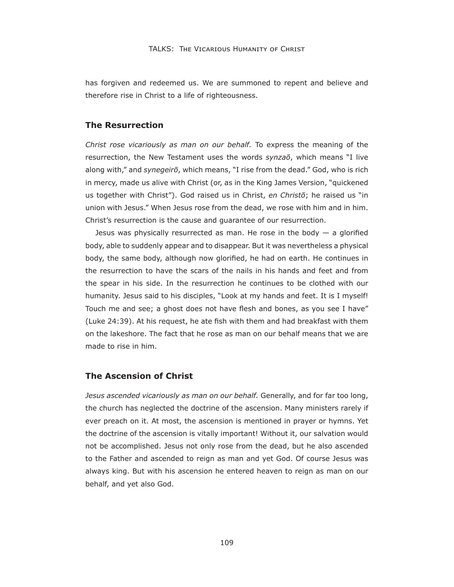has forgiven and redeemed us. We are summoned to repent and believe and therefore rise in Christ to a life of righteousness.

#### **The Resurrection**

*Christ rose vicariously as man on our behalf.* To express the meaning of the resurrection, the New Testament uses the words *synzaō*, which means "I live along with," and *synegeirō*, which means, "I rise from the dead." God, who is rich in mercy, made us alive with Christ (or, as in the King James Version, "quickened us together with Christ"). God raised us in Christ, en Christo; he raised us "in union with Jesus." When Jesus rose from the dead, we rose with him and in him. Christ's resurrection is the cause and guarantee of our resurrection.

Jesus was physically resurrected as man. He rose in the body  $-$  a glorified body, able to suddenly appear and to disappear. But it was nevertheless a physical body, the same body, although now glorifed, he had on earth. He continues in the resurrection to have the scars of the nails in his hands and feet and from the spear in his side. In the resurrection he continues to be clothed with our humanity. Jesus said to his disciples, "Look at my hands and feet. It is I myself! Touch me and see; a ghost does not have flesh and bones, as you see I have" (Luke 24:39). At his request, he ate fish with them and had breakfast with them on the lakeshore. The fact that he rose as man on our behalf means that we are made to rise in him.

## **The Ascension of Christ**

*Jesus ascended vicariously as man on our behalf.* Generally, and for far too long, the church has neglected the doctrine of the ascension. Many ministers rarely if ever preach on it. At most, the ascension is mentioned in prayer or hymns. Yet the doctrine of the ascension is vitally important! Without it, our salvation would not be accomplished. Jesus not only rose from the dead, but he also ascended to the Father and ascended to reign as man and yet God. Of course Jesus was always king. But with his ascension he entered heaven to reign as man on our behalf, and yet also God.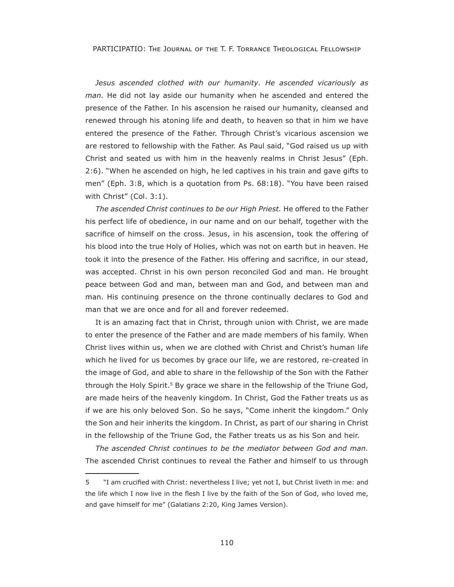PARTICIPATIO: THE JOURNAL OF THE T. F. TORRANCE THEOLOGICAL FELLOWSHIP

*Jesus ascended clothed with our humanity. He ascended vicariously as man.* He did not lay aside our humanity when he ascended and entered the presence of the Father. In his ascension he raised our humanity, cleansed and renewed through his atoning life and death, to heaven so that in him we have entered the presence of the Father. Through Christ's vicarious ascension we are restored to fellowship with the Father. As Paul said, "God raised us up with Christ and seated us with him in the heavenly realms in Christ Jesus" (Eph. 2:6). "When he ascended on high, he led captives in his train and gave gifts to men" (Eph. 3:8, which is a quotation from Ps. 68:18). "You have been raised with Christ" (Col. 3:1).

*The ascended Christ continues to be our High Priest.* He offered to the Father his perfect life of obedience, in our name and on our behalf, together with the sacrifice of himself on the cross. Jesus, in his ascension, took the offering of his blood into the true Holy of Holies, which was not on earth but in heaven. He took it into the presence of the Father. His offering and sacrifice, in our stead, was accepted. Christ in his own person reconciled God and man. He brought peace between God and man, between man and God, and between man and man. His continuing presence on the throne continually declares to God and man that we are once and for all and forever redeemed.

It is an amazing fact that in Christ, through union with Christ, we are made to enter the presence of the Father and are made members of his family. When Christ lives within us, when we are clothed with Christ and Christ's human life which he lived for us becomes by grace our life, we are restored, re-created in the image of God, and able to share in the fellowship of the Son with the Father through the Holy Spirit.5 By grace we share in the fellowship of the Triune God, are made heirs of the heavenly kingdom. In Christ, God the Father treats us as if we are his only beloved Son. So he says, "Come inherit the kingdom." Only the Son and heir inherits the kingdom. In Christ, as part of our sharing in Christ in the fellowship of the Triune God, the Father treats us as his Son and heir.

*The ascended Christ continues to be the mediator between God and man.*  The ascended Christ continues to reveal the Father and himself to us through

<sup>5 &</sup>quot;I am crucifed with Christ: nevertheless I live; yet not I, but Christ liveth in me: and the life which I now live in the flesh I live by the faith of the Son of God, who loved me, and gave himself for me" (Galatians 2:20, King James Version).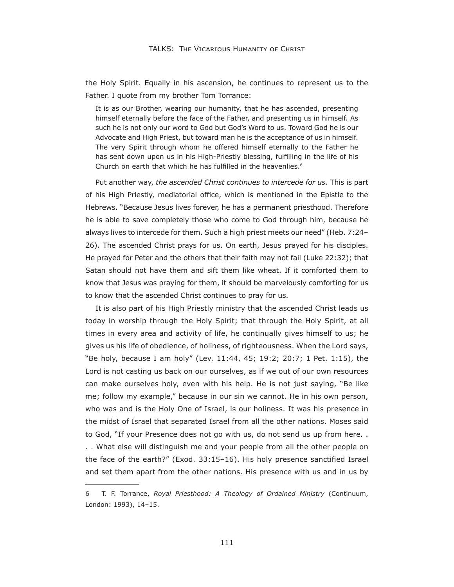the Holy Spirit. Equally in his ascension, he continues to represent us to the Father. I quote from my brother Tom Torrance:

It is as our Brother, wearing our humanity, that he has ascended, presenting himself eternally before the face of the Father, and presenting us in himself. As such he is not only our word to God but God's Word to us. Toward God he is our Advocate and High Priest, but toward man he is the acceptance of us in himself. The very Spirit through whom he offered himself eternally to the Father he has sent down upon us in his High-Priestly blessing, fulflling in the life of his Church on earth that which he has fulfilled in the heavenlies.<sup>6</sup>

Put another way, *the ascended Christ continues to intercede for us.* This is part of his High Priestly, mediatorial office, which is mentioned in the Epistle to the Hebrews. "Because Jesus lives forever, he has a permanent priesthood. Therefore he is able to save completely those who come to God through him, because he always lives to intercede for them. Such a high priest meets our need" (Heb. 7:24-26). The ascended Christ prays for us. On earth, Jesus prayed for his disciples. He prayed for Peter and the others that their faith may not fail (Luke 22:32); that Satan should not have them and sift them like wheat. If it comforted them to know that Jesus was praying for them, it should be marvelously comforting for us to know that the ascended Christ continues to pray for us.

It is also part of his High Priestly ministry that the ascended Christ leads us today in worship through the Holy Spirit; that through the Holy Spirit, at all times in every area and activity of life, he continually gives himself to us; he gives us his life of obedience, of holiness, of righteousness. When the Lord says, "Be holy, because I am holy" (Lev. 11:44, 45; 19:2; 20:7; 1 Pet. 1:15), the Lord is not casting us back on our ourselves, as if we out of our own resources can make ourselves holy, even with his help. He is not just saying, "Be like me; follow my example," because in our sin we cannot. He in his own person, who was and is the Holy One of Israel, is our holiness. It was his presence in the midst of Israel that separated Israel from all the other nations. Moses said to God, "If your Presence does not go with us, do not send us up from here. . . . What else will distinguish me and your people from all the other people on the face of the earth?" (Exod. 33:15-16). His holy presence sanctified Israel and set them apart from the other nations. His presence with us and in us by

<sup>6</sup> T. F. Torrance, *Ro\al PriesthooG: A Theolog\ of OrGaineG Ministr\* (Continuum, London: 1993), 14–15.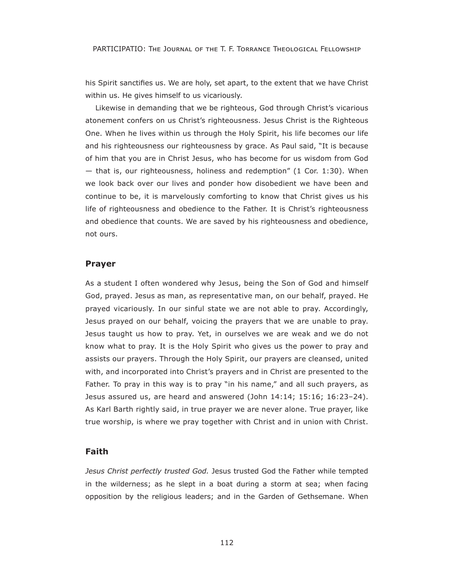his Spirit sanctifes us. We are holy, set apart, to the extent that we have Christ within us. He gives himself to us vicariously.

Likewise in demanding that we be righteous, God through Christ's vicarious atonement confers on us Christ's righteousness. Jesus Christ is the Righteous One. When he lives within us through the Holy Spirit, his life becomes our life and his righteousness our righteousness by grace. As Paul said, "It is because of him that you are in Christ Jesus, who has become for us wisdom from God  $-$  that is, our righteousness, holiness and redemption" (1 Cor. 1:30). When we look back over our lives and ponder how disobedient we have been and continue to be, it is marvelously comforting to know that Christ gives us his life of righteousness and obedience to the Father. It is Christ's righteousness and obedience that counts. We are saved by his righteousness and obedience, not ours.

#### **Prayer**

As a student I often wondered why Jesus, being the Son of God and himself God, prayed. Jesus as man, as representative man, on our behalf, prayed. He prayed vicariously. In our sinful state we are not able to pray. Accordingly, Jesus prayed on our behalf, voicing the prayers that we are unable to pray. Jesus taught us how to pray. Yet, in ourselves we are weak and we do not know what to pray. It is the Holy Spirit who gives us the power to pray and assists our prayers. Through the Holy Spirit, our prayers are cleansed, united with, and incorporated into Christ's prayers and in Christ are presented to the Father. To pray in this way is to pray "in his name," and all such prayers, as Jesus assured us, are heard and answered (John 14:14; 15:16; 16:23–24). As Karl Barth rightly said, in true prayer we are never alone. True prayer, like true worship, is where we pray together with Christ and in union with Christ.

## **Faith**

*Jesus Christ perfectly trusted God.* Jesus trusted God the Father while tempted in the wilderness; as he slept in a boat during a storm at sea; when facing opposition by the religious leaders; and in the Garden of Gethsemane. When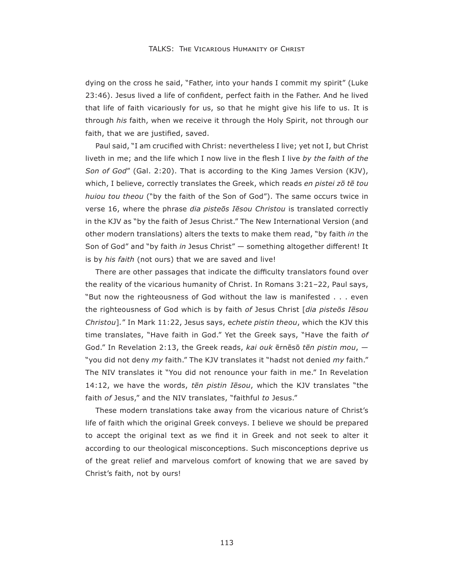dying on the cross he said, "Father, into your hands I commit my spirit" (Luke 23:46). Jesus lived a life of confident, perfect faith in the Father. And he lived that life of faith vicariously for us, so that he might give his life to us. It is through *his* faith, when we receive it through the Holy Spirit, not through our faith, that we are justified, saved.

Paul said, "I am crucifed with Christ: nevertheless I live; yet not I, but Christ liveth in me; and the life which I now live in the flesh I live *by the faith of the Son of God*" (Gal. 2:20). That is according to the King James Version (KJV), which, I believe, correctly translates the Greek, which reads *en pistei zō tē tou huiou tou theou* ("by the faith of the Son of God"). The same occurs twice in verse 16, where the phrase *dia pisteos Iesou Christou* is translated correctly in the KJV as "by the faith of Jesus Christ." The New International Version (and other modern translations) alters the texts to make them read, "by faith *in* the Son of God" and "by faith *in* Jesus Christ" - something altogether different! It is by *his faith* (not ours) that we are saved and live

There are other passages that indicate the difficulty translators found over the reality of the vicarious humanity of Christ. In Romans 3:21–22, Paul says, "But now the righteousness of God without the law is manifested . . . even the righteousness of God which is by faith of Jesus Christ [dia pisteos Iesou *Christou*]." In Mark 11:22, Jesus says, echete pistin theou, which the KJV this time translates, "Have faith in God." Yet the Greek says, "Have the faith *of* God." In Revelation 2:13, the Greek reads, kai ouk ērnēsō tēn pistin mou, -"you did not deny *my* faith." The KJV translates it "hadst not denied *my* faith." The NIV translates it "You did not renounce your faith in me." In Revelation 14:12, we have the words, *tēn pistin Iēsou*, which the KJV translates "the faith *of* Jesus," and the NIV translates, "faithful *to* Jesus."

These modern translations take away from the vicarious nature of Christ's life of faith which the original Greek conveys. I believe we should be prepared to accept the original text as we fnd it in Greek and not seek to alter it according to our theological misconceptions. Such misconceptions deprive us of the great relief and marvelous comfort of knowing that we are saved by Christ's faith, not by ours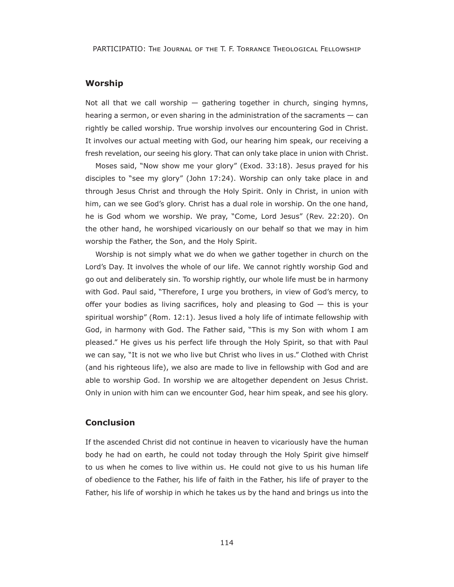## **Worship**

Not all that we call worship  $-$  gathering together in church, singing hymns, hearing a sermon, or even sharing in the administration of the sacraments — can rightly be called worship. True worship involves our encountering God in Christ. It involves our actual meeting with God, our hearing him speak, our receiving a fresh revelation, our seeing his glory. That can only take place in union with Christ.

Moses said, "Now show me your glory" (Exod.  $33:18$ ). Jesus prayed for his disciples to "see my glory" (John 17:24). Worship can only take place in and through Jesus Christ and through the Holy Spirit. Only in Christ, in union with him, can we see God's glory. Christ has a dual role in worship. On the one hand, he is God whom we worship. We pray, "Come, Lord Jesus" (Rev. 22:20). On the other hand, he worshiped vicariously on our behalf so that we may in him worship the Father, the Son, and the Holy Spirit.

Worship is not simply what we do when we gather together in church on the Lord's Day. It involves the whole of our life. We cannot rightly worship God and go out and deliberately sin. To worship rightly, our whole life must be in harmony with God. Paul said, "Therefore, I urge you brothers, in view of God's mercy, to offer your bodies as living sacrifices, holy and pleasing to  $God - this$  is your spiritual worship" (Rom. 12:1). Jesus lived a holy life of intimate fellowship with God, in harmony with God. The Father said, "This is my Son with whom I am pleased." He gives us his perfect life through the Holy Spirit, so that with Paul we can say, "It is not we who live but Christ who lives in us." Clothed with Christ (and his righteous life), we also are made to live in fellowship with God and are able to worship God. In worship we are altogether dependent on Jesus Christ. Only in union with him can we encounter God, hear him speak, and see his glory.

## **Conclusion**

If the ascended Christ did not continue in heaven to vicariously have the human body he had on earth, he could not today through the Holy Spirit give himself to us when he comes to live within us. He could not give to us his human life of obedience to the Father, his life of faith in the Father, his life of prayer to the Father, his life of worship in which he takes us by the hand and brings us into the